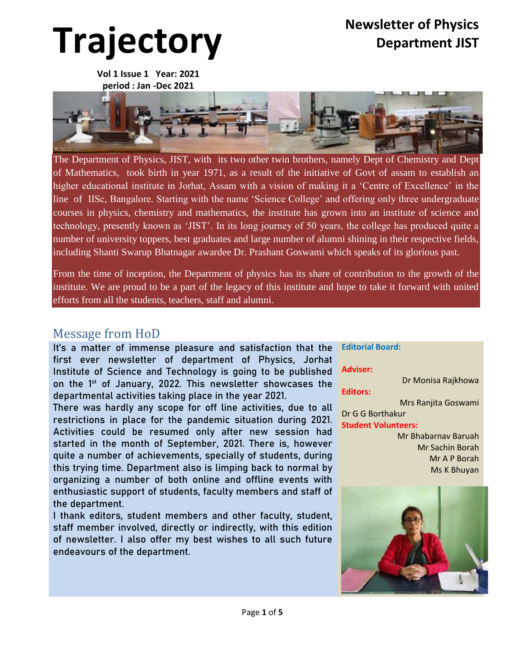# **Trajectory Newsletter of Physics**

**Vol 1 Issue 1 Year: 2021 period : Jan -Dec 2021**



The Department of Physics, JIST, with its two other twin brothers, namely Dept of Chemistry and Dept of Mathematics, took birth in year 1971, as a result of the initiative of Govt of assam to establish an higher educational institute in Jorhat, Assam with a vision of making it a 'Centre of Excellence' in the line of IISc, Bangalore. Starting with the name 'Science College' and offering only three undergraduate courses in physics, chemistry and mathematics, the institute has grown into an institute of science and technology, presently known as 'JIST'. In its long journey of 50 years, the college has produced quite a number of university toppers, best graduates and large number of alumni shining in their respective fields, including Shanti Swarup Bhatnagar awardee Dr. Prashant Goswami which speaks of its glorious past.

From the time of inception, the Department of physics has its share of contribution to the growth of the institute. We are proud to be a part of the legacy of this institute and hope to take it forward with united efforts from all the students, teachers, staff and alumni.

#### Message from HoD

It's a matter of immense pleasure and satisfaction that the first ever newsletter of department of Physics, Jorhat Institute of Science and Technology is going to be published on the 1st of January, 2022. This newsletter showcases the departmental activities taking place in the year 2021.

There was hardly any scope for off line activities, due to all restrictions in place for the pandemic situation during 2021. Activities could be resumed only after new session had started in the month of September, 2021. There is, however quite a number of achievements, specially of students, during this trying time. Department also is limping back to normal by organizing a number of both online and offline events with enthusiastic support of students, faculty members and staff of the department.

I thank editors, student members and other faculty, student, staff member involved, directly or indirectly, with this edition of newsletter. I also offer my best wishes to all such future endeavours of the department.

**Editorial Board: Adviser:** Dr Monisa Rajkhowa **Editors:** Mrs Ranjita Goswami Dr G G Borthakur **Student Volunteers:** Mr Bhabarnav Baruah Mr Sachin Borah Mr A P Borah Ms K Bhuyan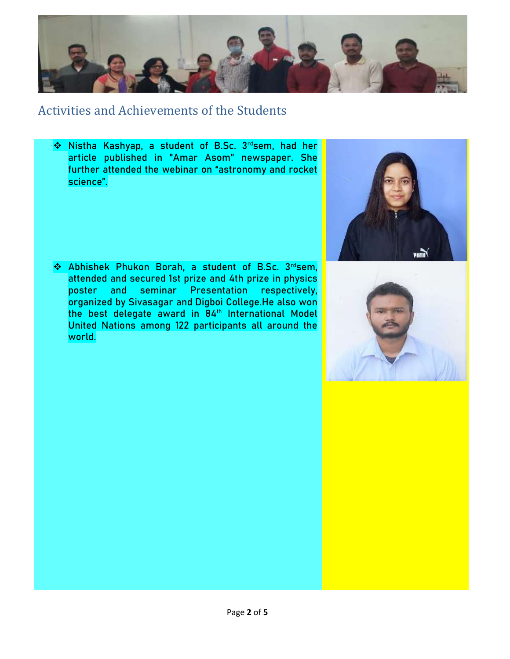

### Activities and Achievements of the Students

◆ Nistha Kashyap, a student of B.Sc. 3rdsem, had her article published in "Amar Asom" newspaper. She further attended the webinar on "astronomy and rocket science".



\* Abhishek Phukon Borah, a student of B.Sc. 3rdsem, attended and secured 1st prize and 4th prize in physics poster and seminar Presentation respectively, organized by Sivasagar and Digboi College.He also won the best delegate award in 84<sup>th</sup> International Model United Nations among 122 participants all around the world.

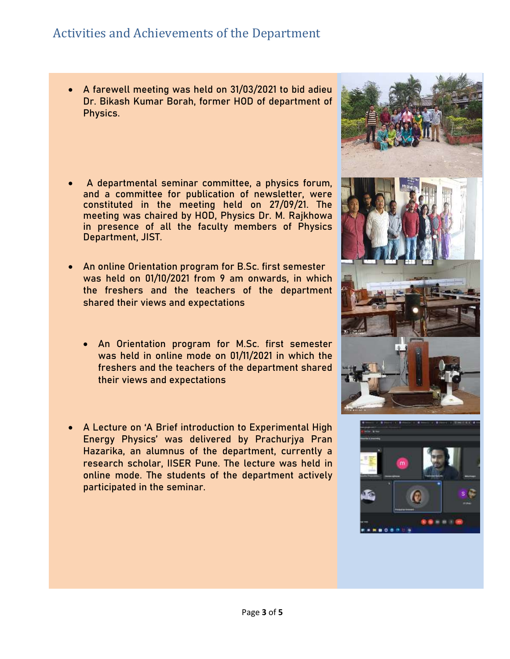# Activities and Achievements of the Department

- A farewell meeting was held on 31/03/2021 to bid adieu Dr. Bikash Kumar Borah, former HOD of department of Physics.
- A departmental seminar committee, a physics forum, and a committee for publication of newsletter, were constituted in the meeting held on 27/09/21. The meeting was chaired by HOD, Physics Dr. M. Rajkhowa in presence of all the faculty members of Physics Department, JIST.
- An online Orientation program for B.Sc. first semester was held on 01/10/2021 from 9 am onwards, in which the freshers and the teachers of the department shared their views and expectations
	- An Orientation program for M.Sc. first semester was held in online mode on 01/11/2021 in which the freshers and the teachers of the department shared their views and expectations
- A Lecture on 'A Brief introduction to Experimental High Energy Physics' was delivered by Prachurjya Pran Hazarika, an alumnus of the department, currently a research scholar, IISER Pune. The lecture was held in online mode. The students of the department actively participated in the seminar.



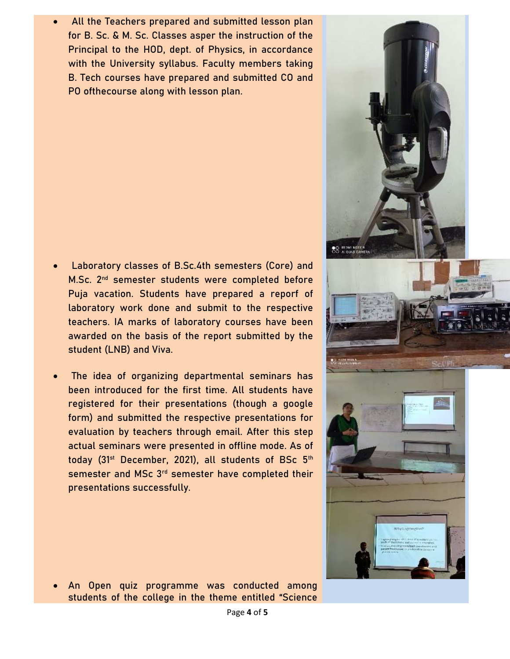All the Teachers prepared and submitted lesson plan for B. Sc. & M. Sc. Classes asper the instruction of the Principal to the HOD, dept. of Physics, in accordance with the University syllabus. Faculty members taking B. Tech courses have prepared and submitted CO and PO ofthecourse along with lesson plan.

- Laboratory classes of B.Sc.4th semesters (Core) and M.Sc. 2<sup>nd</sup> semester students were completed before Puja vacation. Students have prepared a reporf of laboratory work done and submit to the respective teachers. IA marks of laboratory courses have been awarded on the basis of the report submitted by the student (LNB) and Viva.
- The idea of organizing departmental seminars has been introduced for the first time. All students have registered for their presentations (though a google form) and submitted the respective presentations for evaluation by teachers through email. After this step actual seminars were presented in offline mode. As of today (31<sup>st</sup> December, 2021), all students of BSc 5<sup>th</sup> semester and MSc 3<sup>rd</sup> semester have completed their presentations successfully.





 An Open quiz programme was conducted among students of the college in the theme entitled "Science